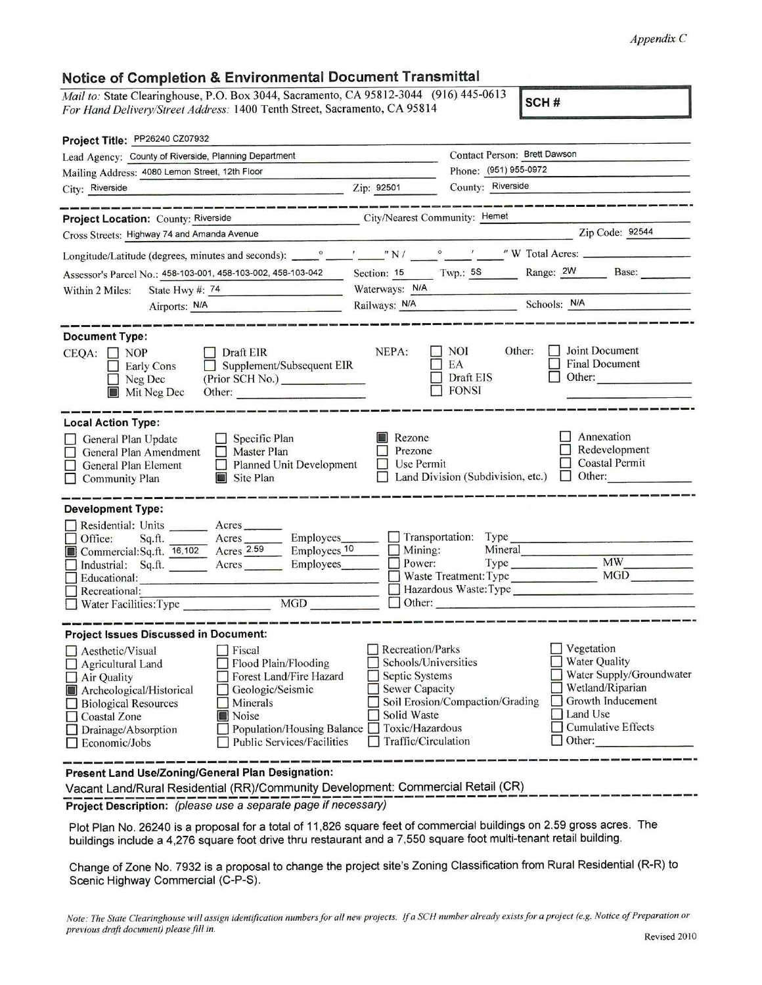## *AppendixC*

## **Notice of Completion** & **Environmental Document Transmittal**

*Mail to: State Clearinghouse, P.O. Box 3044, Sacramento, CA 95812-3044 (916) 445-0613 For Hand Delivery/Street Address:* 1400 Tenth Street, Sacramento, CA 95814 **SCH # SCH # SCH # SCH # SCH # SCH # SCH # SCH # SCH # SCH # SCH # SCH # SCH # SCH # SCH # SCH # SCH # SCH # S** 

| Lead Agency: County of Riverside, Planning Department                                                                                                                                                                                                                                                                                                                          | Contact Person: Brett Dawson                                                                                                                                                                                                                                                                                                                         |
|--------------------------------------------------------------------------------------------------------------------------------------------------------------------------------------------------------------------------------------------------------------------------------------------------------------------------------------------------------------------------------|------------------------------------------------------------------------------------------------------------------------------------------------------------------------------------------------------------------------------------------------------------------------------------------------------------------------------------------------------|
| Mailing Address: 4080 Lemon Street, 12th Floor                                                                                                                                                                                                                                                                                                                                 | Phone: (951) 955-0972                                                                                                                                                                                                                                                                                                                                |
| $\frac{1}{2}$ $\frac{1}{2}$ $\frac{1}{2}$ $\frac{1}{2}$ $\frac{1}{2}$ $\frac{1}{2}$ $\frac{1}{2}$ $\frac{1}{2}$ $\frac{1}{2}$ $\frac{1}{2}$ $\frac{1}{2}$ $\frac{1}{2}$ $\frac{1}{2}$ $\frac{1}{2}$ $\frac{1}{2}$ $\frac{1}{2}$ $\frac{1}{2}$ $\frac{1}{2}$ $\frac{1}{2}$ $\frac{1}{2}$ $\frac{1}{2}$ $\frac{1}{2}$<br>City: Riverside                                         | County: Riverside                                                                                                                                                                                                                                                                                                                                    |
| Project Location: County: Riverside                                                                                                                                                                                                                                                                                                                                            | City/Nearest Community: Hemet                                                                                                                                                                                                                                                                                                                        |
| Cross Streets: Highway 74 and Amanda Avenue                                                                                                                                                                                                                                                                                                                                    | $\overline{2ip \text{ Code: } 92544}$                                                                                                                                                                                                                                                                                                                |
|                                                                                                                                                                                                                                                                                                                                                                                |                                                                                                                                                                                                                                                                                                                                                      |
|                                                                                                                                                                                                                                                                                                                                                                                | Assessor's Parcel No.: 458-103-001, 458-103-002, 458-103-042 Section: 15 Twp.: 58 Range: 2W Base:                                                                                                                                                                                                                                                    |
| State Hwy #: $74$<br>Within 2 Miles:                                                                                                                                                                                                                                                                                                                                           | Waterways: N/A                                                                                                                                                                                                                                                                                                                                       |
| Airports: N/A                                                                                                                                                                                                                                                                                                                                                                  | Railways: N/A Schools: N/A Schools: N/A                                                                                                                                                                                                                                                                                                              |
| <b>Document Type:</b><br>$\Box$ Draft EIR<br>$CEQA: \Box NOP$<br>Supplement/Subsequent EIR<br><b>Early Cons</b><br>(Prior SCH No.)<br>Neg Dec<br>Mit Neg Dec<br>Other:                                                                                                                                                                                                         | Joint Document<br><b>NOI</b><br>Other:<br>NEPA:<br><b>Final Document</b><br>EA<br>Draft EIS<br>Other:<br><b>FONSI</b>                                                                                                                                                                                                                                |
| <b>Local Action Type:</b><br>$\Box$ Specific Plan<br>General Plan Update<br>$\Box$ Master Plan<br>General Plan Amendment<br>Planned Unit Development<br>General Plan Element<br>Site Plan<br><b>Community Plan</b>                                                                                                                                                             | Annexation<br>Rezone<br>Redevelopment<br>Prezone<br><b>Coastal Permit</b><br>Use Permit<br>$\Box$ Land Division (Subdivision, etc.) $\Box$ Other:                                                                                                                                                                                                    |
| <b>Development Type:</b><br>Residential: Units _________ Acres _______<br>Sq.ft. __________ Acres __________ Employees________<br>Office:<br>Commercial:Sq.ft. 16,102 Acres 2.59<br>Educational:<br>Recreational:                                                                                                                                                              | Transportation: Type<br>Employees <sub>10</sub><br>Mining:<br>Power:<br>Mineral<br>Employees_______<br>Hazardous Waste: Type<br>MGD<br>$\Box$ Other:                                                                                                                                                                                                 |
| <b>Project Issues Discussed in Document:</b>                                                                                                                                                                                                                                                                                                                                   |                                                                                                                                                                                                                                                                                                                                                      |
| $\Box$ Aesthetic/Visual<br>  Fiscal<br>Flood Plain/Flooding<br>$\Box$ Agricultural Land<br>Forest Land/Fire Hazard<br>$\Box$ Air Quality<br>Geologic/Seismic<br>Archeological/Historical<br>Minerals<br><b>Biological Resources</b><br>Noise<br><b>Coastal Zone</b><br>Population/Housing Balance<br>Drainage/Absorption<br><b>Public Services/Facilities</b><br>Economic/Jobs | $\Box$ Vegetation<br>Recreation/Parks<br><b>Water Quality</b><br>Schools/Universities<br>Water Supply/Groundwater<br>Septic Systems<br>Wetland/Riparian<br><b>Sewer Capacity</b><br>Growth Inducement<br>Soil Erosion/Compaction/Grading<br>Land Use<br>Solid Waste<br><b>Cumulative Effects</b><br>Toxic/Hazardous<br>Traffic/Circulation<br>Other: |
| Present Land Use/Zoning/General Plan Designation:<br>Vacant Land/Rural Residential (RR)/Community Development: Commercial Retail (CR)                                                                                                                                                                                                                                          |                                                                                                                                                                                                                                                                                                                                                      |

Project Description: (please use a separate page if necessary)

Plot Plan No. 26240 is a proposal for a total of 11 ,826 square feet of commercial buildings on 2.59 gross acres. The buildings include a 4,276 square foot drive thru restaurant and a 7,550 square foot multi-tenant retail building.

Change of Zone No. 7932 is a proposal to change the project site's Zoning Classification from Rural Residential (R-R) to Scenic Highway Commercial (C-P-S).

*Note: The State Clearinghouse will assign identification numbers for all new projects.* If *a SCH number already exists for a project (e.g. Notice of Preparation or previous draft document) please fill in.* **Revised 2010 Revised 2010**